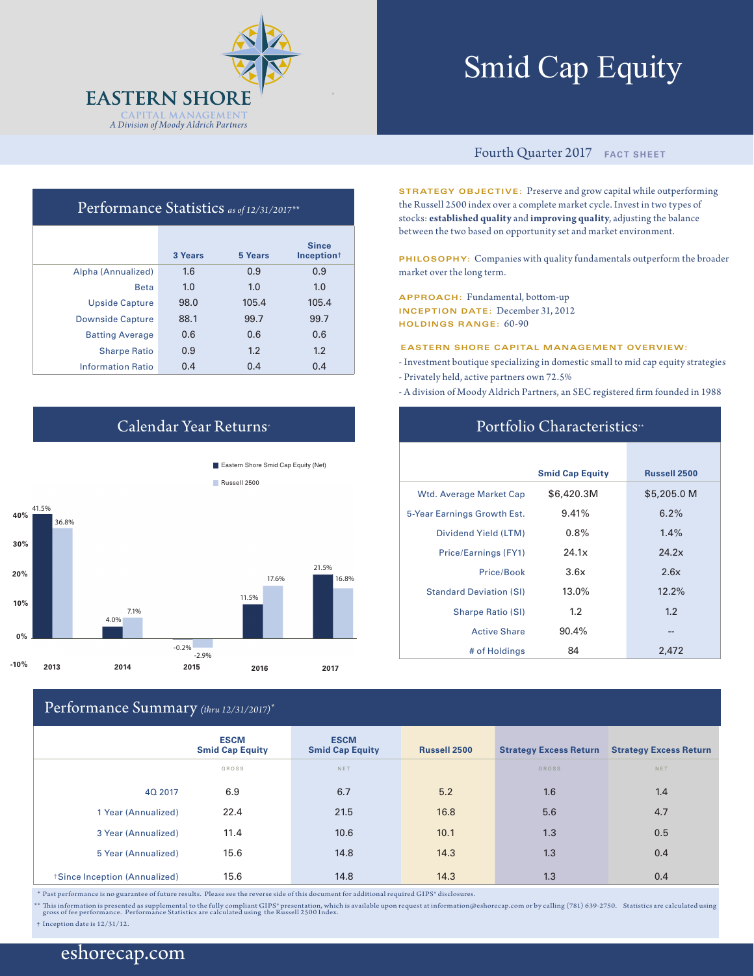

# Smid Cap Equity

#### Fourth Quarter 2017 **FACT SHEET**

**STRATEGY OBJECTIVE:** Preserve and grow capital while outperforming the Russell 2500 index over a complete market cycle. Invest in two types of stocks: **established quality** and **improving quality**, adjusting the balance between the two based on opportunity set and market environment.

**PHILOSOPHY:** Companies with quality fundamentals outperform the broader market over the long term.

**APPROACH:** Fundamental, bottom-up **INCEPTION DATE:** December 31, 2012 **HOLDINGS RANGE:** 60-90

**EASTERN SHORE CAPITAL MANAGEMENT OVERVIEW:**

- Investment boutique specializing in domestic small to mid cap equity strategies - Privately held, active partners own 72.5%
- A division of Moody Aldrich Partners, an SEC registered firm founded in 1988

## Portfolio Characteristics<sup>\*\*</sup>

|                                | <b>Smid Cap Equity</b> | <b>Russell 2500</b> |
|--------------------------------|------------------------|---------------------|
| <b>Wtd. Average Market Cap</b> | \$6,420.3M             | \$5,205.0 M         |
| 5-Year Earnings Growth Est.    | 9.41%                  | 6.2%                |
| Dividend Yield (LTM)           | $0.8\%$                | 1.4%                |
| Price/Earnings (FY1)           | 24.1x                  | 24.2x               |
| Price/Book                     | 3.6x                   | 2.6x                |
| <b>Standard Deviation (SI)</b> | 13.0%                  | 12.2%               |
| <b>Sharpe Ratio (SI)</b>       | 1.2                    | 1.2                 |
| <b>Active Share</b>            | 90.4%                  | --                  |
| # of Holdings                  | 84                     | 2.472               |

## Performance Statistics *as of 12/31/2017\*\**

|                          | 3 Years | 5 Years | <b>Since</b><br>Inception <sup>+</sup> |
|--------------------------|---------|---------|----------------------------------------|
| Alpha (Annualized)       | 1.6     | 0.9     | 0.9                                    |
| <b>Beta</b>              | 1.0     | 1.0     | 1.0                                    |
| <b>Upside Capture</b>    | 98.0    | 105.4   | 105.4                                  |
| <b>Downside Capture</b>  | 88.1    | 99.7    | 99.7                                   |
| <b>Batting Average</b>   | 0.6     | 0.6     | 0.6                                    |
| <b>Sharpe Ratio</b>      | 0.9     | 1.2     | 1.2                                    |
| <b>Information Ratio</b> | 0.4     | 0.4     | 0.4                                    |

## Calendar Year Returns\*

**Eastern Shore Smid Cap Equity (Net)** 



## Performance Summary *(thru 12/31/2017)\**

|                              | <b>ESCM</b><br><b>Smid Cap Equity</b> | <b>ESCM</b><br><b>Smid Cap Equity</b> | <b>Russell 2500</b> | <b>Strategy Excess Return</b> | <b>Strategy Excess Return</b> |
|------------------------------|---------------------------------------|---------------------------------------|---------------------|-------------------------------|-------------------------------|
|                              | GROSS                                 | NET                                   |                     | GROSS                         | NET                           |
| 40 2017                      | 6.9                                   | 6.7                                   | 5.2                 | 1.6                           | 1.4                           |
| 1 Year (Annualized)          | 22.4                                  | 21.5                                  | 16.8                | 5.6                           | 4.7                           |
| 3 Year (Annualized)          | 11.4                                  | 10.6                                  | 10.1                | 1.3                           | 0.5                           |
| 5 Year (Annualized)          | 15.6                                  | 14.8                                  | 14.3                | 1.3                           | 0.4                           |
| Since Inception (Annualized) | 15.6                                  | 14.8                                  | 14.3                | 1.3                           | 0.4                           |

 $^\ast$  Past performance is no guarantee of future results. Please see the reverse side of this document for additional required GIPS® disclosures.

\*\* This information is presented as supplemental to the fully compliant GIPS" presentation, which is available upon request at information@eshorecap.com or by calling (781) 639-2750. Statistics are calculated using<br>gros

† Inception date is 12/31/12.